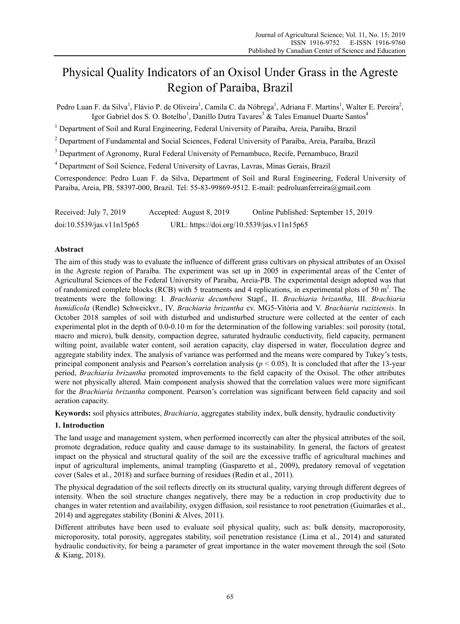# Physical Quality Indicators of an Oxisol Under Grass in the Agreste Region of Paraiba, Brazil

Pedro Luan F. da Silva<sup>1</sup>, Flávio P. de Oliveira<sup>1</sup>, Camila C. da Nóbrega<sup>1</sup>, Adriana F. Martins<sup>1</sup>, Walter E. Pereira<sup>2</sup>, Igor Gabriel dos S. O. Botelho<sup>1</sup>, Danillo Dutra Tavares<sup>3</sup> & Tales Emanuel Duarte Santos<sup>4</sup>

<sup>1</sup> Department of Soil and Rural Engineering, Federal University of Paraiba, Areia, Paraíba, Brazil

<sup>2</sup> Department of Fundamental and Social Sciences, Federal University of Paraíba, Areia, Paraíba, Brazil

<sup>3</sup> Department of Agronomy, Rural Federal University of Pernambuco, Recife, Pernambuco, Brazil

4 Department of Soil Science, Federal University of Lavras, Lavras, Minas Gerais, Brazil

Correspondence: Pedro Luan F. da Silva, Department of Soil and Rural Engineering, Federal University of Paraiba, Areia, PB, 58397-000, Brazil. Tel: 55-83-99869-9512. E-mail: pedroluanferreira@gmail.com

Received: July 7, 2019 Accepted: August 8, 2019 Online Published: September 15, 2019 doi:10.5539/jas.v11n15p65 URL: https://doi.org/10.5539/jas.v11n15p65

# **Abstract**

The aim of this study was to evaluate the influence of different grass cultivars on physical attributes of an Oxisol in the Agreste region of Paraíba. The experiment was set up in 2005 in experimental areas of the Center of Agricultural Sciences of the Federal University of Paraíba, Areia-PB. The experimental design adopted was that of randomized complete blocks (RCB) with 5 treatments and 4 replications, in experimental plots of 50 m<sup>2</sup>. The treatments were the following: I. *Brachiaria decumbens* Stapf., II. *Brachiaria brizantha*, III. *Brachiaria humidicola* (Rendle) Schweickvr., IV. *Brachiaria brizantha* cv. MG5-Vitória and V. *Brachiaria ruziziensis*. In October 2018 samples of soil with disturbed and undisturbed structure were collected at the center of each experimental plot in the depth of 0.0-0.10 m for the determination of the following variables: soil porosity (total, macro and micro), bulk density, compaction degree, saturated hydraulic conductivity, field capacity, permanent wilting point, available water content, soil aeration capacity, clay dispersed in water, flocculation degree and aggregate stability index. The analysis of variance was performed and the means were compared by Tukey's tests, principal component analysis and Pearson's correlation analysis ( $p < 0.05$ ). It is concluded that after the 13-year period, *Brachiaria brizantha* promoted improvements to the field capacity of the Oxisol. The other attributes were not physically altered. Main component analysis showed that the correlation values were more significant for the *Brachiaria brizantha* component. Pearson's correlation was significant between field capacity and soil aeration capacity.

**Keywords:** soil physics attributes, *Brachiaria*, aggregates stability index, bulk density, hydraulic conductivity

# **1. Introduction**

The land usage and management system, when performed incorrectly can alter the physical attributes of the soil, promote degradation, reduce quality and cause damage to its sustainability. In general, the factors of greatest impact on the physical and structural quality of the soil are the excessive traffic of agricultural machines and input of agricultural implements, animal trampling (Gasparetto et al., 2009), predatory removal of vegetation cover (Sales et al., 2018) and surface burning of residues (Redin et al., 2011).

The physical degradation of the soil reflects directly on its structural quality, varying through different degrees of intensity. When the soil structure changes negatively, there may be a reduction in crop productivity due to changes in water retention and availability, oxygen diffusion, soil resistance to root penetration (Guimarães et al., 2014) and aggregates stability (Bonini & Alves, 2011).

Different attributes have been used to evaluate soil physical quality, such as: bulk density, macroporosity, microporosity, total porosity, aggregates stability, soil penetration resistance (Lima et al., 2014) and saturated hydraulic conductivity, for being a parameter of great importance in the water movement through the soil (Soto & Kiang, 2018).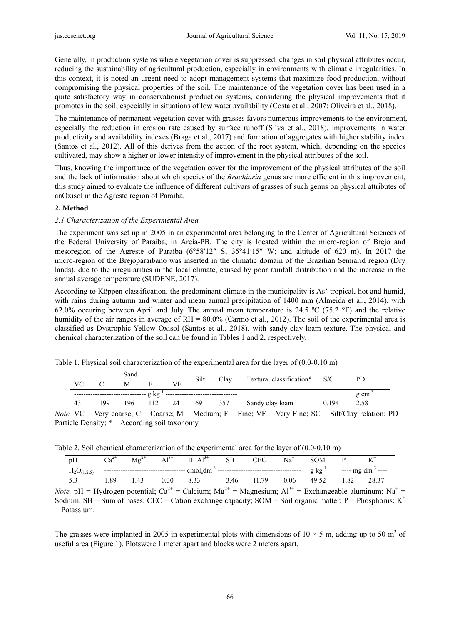Generally, in production systems where vegetation cover is suppressed, changes in soil physical attributes occur, reducing the sustainability of agricultural production, especially in environments with climatic irregularities. In this context, it is noted an urgent need to adopt management systems that maximize food production, without compromising the physical properties of the soil. The maintenance of the vegetation cover has been used in a quite satisfactory way in conservationist production systems, considering the physical improvements that it promotes in the soil, especially in situations of low water availability (Costa et al., 2007; Oliveira et al., 2018).

The maintenance of permanent vegetation cover with grasses favors numerous improvements to the environment, especially the reduction in erosion rate caused by surface runoff (Silva et al., 2018), improvements in water productivity and availability indexes (Braga et al., 2017) and formation of aggregates with higher stability index (Santos et al., 2012). All of this derives from the action of the root system, which, depending on the species cultivated, may show a higher or lower intensity of improvement in the physical attributes of the soil.

Thus, knowing the importance of the vegetation cover for the improvement of the physical attributes of the soil and the lack of information about which species of the *Brachiaria* genus are more efficient in this improvement, this study aimed to evaluate the influence of different cultivars of grasses of such genus on physical attributes of anOxisol in the Agreste region of Paraíba.

## **2. Method**

# *2.1 Characterization of the Experimental Area*

The experiment was set up in 2005 in an experimental area belonging to the Center of Agricultural Sciences of the Federal University of Paraíba, in Areia-PB. The city is located within the micro-region of Brejo and mesoregion of the Agreste of Paraíba (6°58′12″ S; 35°41′15″ W; and altitude of 620 m). In 2017 the micro-region of the Brejoparaibano was inserted in the climatic domain of the Brazilian Semiarid region (Dry lands), due to the irregularities in the local climate, caused by poor rainfall distribution and the increase in the annual average temperature (SUDENE, 2017).

According to Köppen classification, the predominant climate in the municipality is As'-tropical, hot and humid, with rains during autumn and winter and mean annual precipitation of 1400 mm (Almeida et al., 2014), with 62.0% occuring between April and July. The annual mean temperature is 24.5 ºC (75.2 °F) and the relative humidity of the air ranges in average of RH = 80.0% (Carmo et al., 2012). The soil of the experimental area is classified as Dystrophic Yellow Oxisol (Santos et al., 2018), with sandy-clay-loam texture. The physical and chemical characterization of the soil can be found in Tables 1 and 2, respectively.

| Sand |             |   |  |           | Silt | Clay | Textural classification* S/C |  | PD                  |
|------|-------------|---|--|-----------|------|------|------------------------------|--|---------------------|
| VC.  |             | М |  | <b>VF</b> |      |      |                              |  |                     |
|      | $g kg^{-1}$ |   |  |           |      |      |                              |  |                     |
|      |             |   |  |           |      |      |                              |  | $g \text{ cm}^{-3}$ |

Table 1. Physical soil characterization of the experimental area for the layer of (0.0-0.10 m)

*Note.*  $VC = Very coarse$ ;  $C = Coarse$ ;  $M = Medium$ ;  $F = Fine$ ;  $VF = Very Fine$ ;  $SC = Slt/Clay relation$ ;  $PD =$ Particle Density; \* = According soil taxonomy.

Table 2. Soil chemical characterization of the experimental area for the layer of (0.0-0.10 m)

| pH                                                                                                                           |     | $M\mathbf{g}^{2+}$ | $\Delta$ 1 <sup>3+</sup> | $H+A1^{3+}$ | <b>SB</b> | <b>CEC</b> | Na <sup>+</sup> | SOM         |     |                                |
|------------------------------------------------------------------------------------------------------------------------------|-----|--------------------|--------------------------|-------------|-----------|------------|-----------------|-------------|-----|--------------------------------|
| $H_2O_{(1:2.5)}$                                                                                                             |     |                    |                          |             |           |            |                 | g $kg^{-1}$ |     | $---$ mg dm <sup>-3</sup> ---- |
|                                                                                                                              | -89 | $\Delta$ 3         | 0.30                     | 833         |           | 3.46 11.79 | 0.06            | 49.52       | 182 | 28.37                          |
| $\text{Log}$ $pH = Hvdr^2$ notation $Ca^{2+} = Ca^{1/2}mv$ . $Ma^{2+} = Ma^{1/2}mv$ . $A^{1/2+} = Exch^2$ aluminum: $Na^{+}$ |     |                    |                          |             |           |            |                 |             |     |                                |

*Note.*  $pH = Hydrogen potential; Ca<sup>2+</sup> = Calcum; Mg<sup>2+</sup> = Magnusum; Al<sup>3</sup>$ Exchangeable aluminum;  $Na =$ Sodium; SB = Sum of bases; CEC = Cation exchange capacity; SOM = Soil organic matter; P = Phosphorus; K<sup>+</sup> = Potassium.

The grasses were implanted in 2005 in experimental plots with dimensions of 10  $\times$  5 m, adding up to 50 m<sup>2</sup> of useful area (Figure 1). Plotswere 1 meter apart and blocks were 2 meters apart.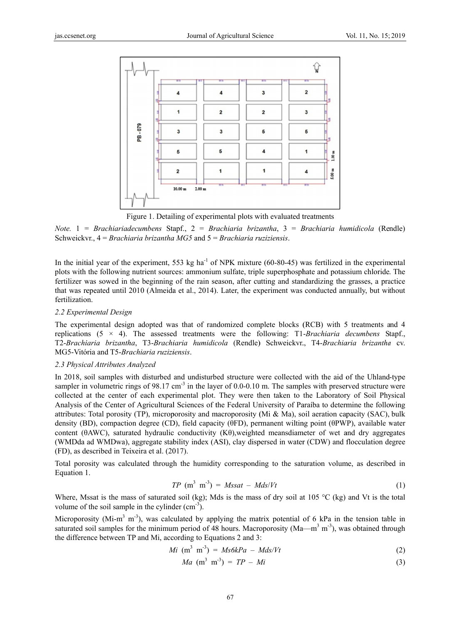

Figure 1. Detailing of experimental plots with evaluated treatments

Note.  $1 = Brachiaria decumbens$  Stapf.,  $2 = Brachiaria brizantha$ ,  $3 = Brachiaria humidicola$  (Rendle) Schweickyr.  $4 = Brachiaria brizantha MGS$  and  $5 = Brachiaria ruziziensis$ .

In the initial year of the experiment, 553 kg ha<sup>-1</sup> of NPK mixture (60-80-45) was fertilized in the experimental plots with the following nutrient sources: ammonium sulfate, triple superphosphate and potassium chloride. The fertilizer was sowed in the beginning of the rain season, after cutting and standardizing the grasses, a practice that was repeated until 2010 (Almeida et al., 2014). Later, the experiment was conducted annually, but without fertilization.

## 2.2 Experimental Design

The experimental design adopted was that of randomized complete blocks (RCB) with 5 treatments and 4 replications  $(5 \times 4)$ . The assessed treatments were the following: T1-Brachiaria decumbens Stapf., T2-Brachiaria brizantha, T3-Brachiaria humidicola (Rendle) Schweickyr., T4-Brachiaria brizantha cv. MG5-Vitória and T5-Brachiaria ruziziensis.

## 2.3 Physical Attributes Analyzed

In 2018, soil samples with disturbed and undisturbed structure were collected with the aid of the Uhland-type sampler in volumetric rings of 98.17 cm<sup>-3</sup> in the layer of 0.0-0.10 m. The samples with preserved structure were collected at the center of each experimental plot. They were then taken to the Laboratory of Soil Physical Analysis of the Center of Agricultural Sciences of the Federal University of Paraíba to determine the following attributes: Total porosity (TP), microporosity and macroporosity (Mi & Ma), soil aeration capacity (SAC), bulk density (BD), compaction degree (CD), field capacity ( $\theta$ FD), permanent wilting point ( $\theta$ PWP), available water content ( $\theta$ AWC), saturated hydraulic conductivity (K $\theta$ ), weighted meansdiameter of wet and dry aggregates (WMDda ad WMDwa), aggregate stability index (ASI), clay dispersed in water (CDW) and flocculation degree (FD), as described in Teixeira et al. (2017).

Total porosity was calculated through the humidity corresponding to the saturation volume, as described in Equation 1.

$$
TP \text{ (m}^3 \text{ m}^3) = Mssat - Mds/Vt \tag{1}
$$

Where, Mssat is the mass of saturated soil (kg); Mds is the mass of dry soil at 105 °C (kg) and Vt is the total volume of the soil sample in the cylinder  $(cm<sup>-3</sup>)$ .

Microporosity (Mi-m<sup>3</sup> m<sup>-3</sup>), was calculated by applying the matrix potential of 6 kPa in the tension table in saturated soil samples for the minimum period of 48 hours. Macroporosity ( $Ma - m<sup>3</sup> m<sup>-3</sup>$ ), was obtained through the difference between TP and Mi, according to Equations 2 and 3:

$$
Mi \, \left( m^3 \, m^{-3} \right) = Ms6kPa - Mds/Vt \tag{2}
$$

$$
Ma \, \left( \mathbf{m}^3 \, \mathbf{m}^3 \right) = TP - Mi \tag{3}
$$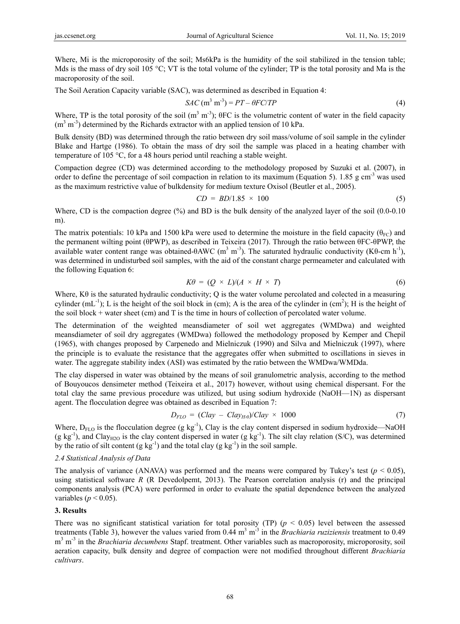Where, Mi is the microporosity of the soil; Ms6kPa is the humidity of the soil stabilized in the tension table; Mds is the mass of dry soil 105 °C; VT is the total volume of the cylinder; TP is the total porosity and Ma is the macroporosity of the soil.

The Soil Aeration Capacity variable (SAC), was determined as described in Equation 4:

$$
SAC \text{ (m}^3 \text{ m}^{-3}) = PT - \theta FC/TP \tag{4}
$$

Where, TP is the total porosity of the soil  $(m^3 m^3)$ ;  $\theta$ FC is the volumetric content of water in the field capacity  $(m<sup>3</sup> m<sup>-3</sup>)$  determined by the Richards extractor with an applied tension of 10 kPa.

Bulk density (BD) was determined through the ratio between dry soil mass/volume of soil sample in the cylinder Blake and Hartge (1986). To obtain the mass of dry soil the sample was placed in a heating chamber with temperature of 105 °C, for a 48 hours period until reaching a stable weight.

Compaction degree (CD) was determined according to the methodology proposed by Suzuki et al. (2007), in order to define the percentage of soil compaction in relation to its maximum (Equation 5). 1.85 g cm<sup>-3</sup> was used as the maximum restrictive value of bulkdensity for medium texture Oxisol (Beutler et al., 2005).

$$
CD = BD/1.85 \times 100 \tag{5}
$$

Where, CD is the compaction degree (%) and BD is the bulk density of the analyzed layer of the soil (0.0-0.10) m).

The matrix potentials: 10 kPa and 1500 kPa were used to determine the moisture in the field capacity ( $\theta_{\text{FC}}$ ) and the permanent wilting point (θPWP), as described in Teixeira (2017). Through the ratio between θFC-θPWP, the available water content range was obtained-θAWC (m<sup>3</sup> m<sup>-3</sup>). The saturated hydraulic conductivity (Kθ-cm h<sup>-1</sup>), was determined in undisturbed soil samples, with the aid of the constant charge permeameter and calculated with the following Equation 6:

$$
K\theta = (Q \times L)/(A \times H \times T) \tag{6}
$$

Where,  $K\theta$  is the saturated hydraulic conductivity; Q is the water volume percolated and colected in a measuring cylinder  $(mL^{-1})$ ; L is the height of the soil block in (cm); A is the area of the cylinder in (cm<sup>2</sup>); H is the height of the soil block + water sheet (cm) and T is the time in hours of collection of percolated water volume.

The determination of the weighted meansdiameter of soil wet aggregates (WMDwa) and weighted meansdiameter of soil dry aggregates (WMDwa) followed the methodology proposed by Kemper and Chepil (1965), with changes proposed by Carpenedo and Mielniczuk (1990) and Silva and Mielniczuk (1997), where the principle is to evaluate the resistance that the aggregates offer when submitted to oscillations in sieves in water. The aggregate stability index (ASI) was estimated by the ratio between the WMDwa/WMDda.

The clay dispersed in water was obtained by the means of soil granulometric analysis, according to the method of Bouyoucos densimeter method (Teixeira et al., 2017) however, without using chemical dispersant. For the total clay the same previous procedure was utilized, but using sodium hydroxide (NaOH—1N) as dispersant agent. The flocculation degree was obtained as described in Equation 7:

$$
D_{FLO} = (Clay - Clay_{H2})/Clay \times 1000 \tag{7}
$$

Where,  $D_{FLO}$  is the flocculation degree (g kg<sup>-1</sup>), Clay is the clay content dispersed in sodium hydroxide—NaOH  $(g \ kg^1)$ , and Clay<sub>H2O</sub> is the clay content dispersed in water  $(g \ kg^1)$ . The silt clay relation (S/C), was determined by the ratio of silt content  $(g kg<sup>-1</sup>)$  and the total clay  $(g kg<sup>-1</sup>)$  in the soil sample.

#### *2.4 Statistical Analysis of Data*

The analysis of variance (ANAVA) was performed and the means were compared by Tukey's test ( $p < 0.05$ ), using statistical software *R* (R Devedolpemt, 2013). The Pearson correlation analysis (r) and the principal components analysis (PCA) were performed in order to evaluate the spatial dependence between the analyzed variables ( $p < 0.05$ ).

#### **3. Results**

There was no significant statistical variation for total porosity (TP)  $(p < 0.05)$  level between the assessed treatments (Table 3), however the values varied from 0.44 m<sup>3</sup> m<sup>-3</sup> in the *Brachiaria ruziziensis* treatment to 0.49 m3 m-3 in the *Brachiaria decumbens* Stapf. treatment. Other variables such as macroporosity, microporosity, soil aeration capacity, bulk density and degree of compaction were not modified throughout different *Brachiaria cultivars*.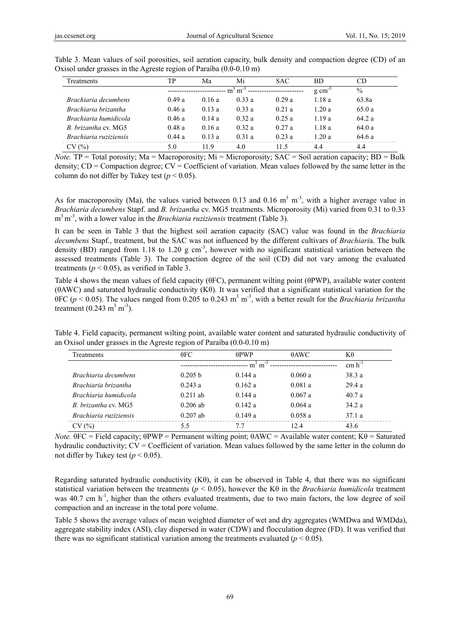| Treatments             | TР    | Ma    | Mi                  | <b>SAC</b>    | <b>BD</b> | CD     |
|------------------------|-------|-------|---------------------|---------------|-----------|--------|
|                        |       |       | $g \text{ cm}^{-3}$ | $\frac{0}{0}$ |           |        |
| Brachiaria decumbens   | 0.49a | 0.16a | 0.33a               | 0.29a         | 1.18a     | 63.8a  |
| Brachiaria brizantha   | 0.46a | 0.13a | 0.33a               | 0.21a         | 1.20a     | 65.0a  |
| Brachiaria humidicola  | 0.46a | 0.14a | 0.32a               | 0.25a         | 1.19a     | 64.2a  |
| B. brizantha cv. MG5   | 0.48a | 0.16a | 0.32a               | 0.27a         | 1.18a     | 64.0 a |
| Brachiaria ruziziensis | 0.44a | 0.13a | 0.31a               | 0.23a         | 1.20a     | 64.6 a |
| CV(%)                  | 5.0   | 119   | 4.0                 | 11.5          | 4.4       | 4.4    |

Table 3. Mean values of soil porosities, soil aeration capacity, bulk density and compaction degree (CD) of an Oxisol under grasses in the Agreste region of Paraíba (0.0-0.10 m)

*Note.* TP = Total porosity; Ma = Macroporosity; Mi = Microporosity; SAC = Soil aeration capacity; BD = Bulk density;  $CD =$  Compaction degree;  $CV =$  Coefficient of variation. Mean values followed by the same letter in the column do not differ by Tukey test ( $p < 0.05$ ).

As for macroporosity (Ma), the values varied between 0.13 and 0.16  $m<sup>3</sup> m<sup>-3</sup>$ , with a higher average value in *Brachiaria decumbens* Stapf. and *B. brizantha* cv. MG5 treatments. Microporosity (Mi) varied from 0.31 to 0.33 m3 m-3, with a lower value in the *Brachiaria ruziziensis* treatment (Table 3).

It can be seen in Table 3 that the highest soil aeration capacity (SAC) value was found in the *Brachiaria decumbens* Stapf., treatment, but the SAC was not influenced by the different cultivars of *Brachiari*a. The bulk density (BD) ranged from 1.18 to 1.20 g cm<sup>-3</sup>, however with no significant statistical variation between the assessed treatments (Table 3). The compaction degree of the soil (CD) did not vary among the evaluated treatments ( $p < 0.05$ ), as verified in Table 3.

Table 4 shows the mean values of field capacity (θFC), permanent wilting point (θPWP), available water content (θAWC) and saturated hydraulic conductivity (Kθ). It was verified that a significant statistical variation for the  $\theta$ FC ( $p$  < 0.05). The values ranged from 0.205 to 0.243 m<sup>3</sup> m<sup>-3</sup>, with a better result for the *Brachiaria brizantha* treatment  $(0.243 \text{ m}^3 \text{ m}^{-3})$ .

Table 4. Field capacity, permanent wilting point, available water content and saturated hydraulic conductivity of an Oxisol under grasses in the Agreste region of Paraíba (0.0-0.10 m)

| Treatments             | $\theta$ FC        | $\theta$ PWP | $\theta$ AWC | Κθ          |
|------------------------|--------------------|--------------|--------------|-------------|
|                        |                    | $m3$ m       |              | $cm h^{-1}$ |
| Brachiaria decumbens   | 0.205 <sub>b</sub> | 0.144a       | 0.060a       | 38.3 a      |
| Brachiaria brizantha   | 0.243a             | 0.162a       | 0.081a       | 29.4a       |
| Brachiaria humidicola  | $0.211$ ab         | 0.144a       | 0.067a       | 40.7a       |
| B. brizantha cv. MG5   | $0.206$ ab         | 0.142 a      | 0.064a       | 34.2a       |
| Brachiaria ruziziensis | $0.207$ ab         | 0.149a       | 0.058a       | 37.1a       |
| CV(%)                  | 5.5                | 7.7          | 12.4         | 43.6        |

*Note.*  $\theta$ FC = Field capacity;  $\theta$ PWP = Permanent wilting point;  $\theta$ AWC = Available water content; K $\theta$  = Saturated hydraulic conductivity; CV = Coefficient of variation. Mean values followed by the same letter in the column do not differ by Tukey test  $(p < 0.05)$ .

Regarding saturated hydraulic conductivity (Kθ), it can be observed in Table 4, that there was no significant statistical variation between the treatments (*p* < 0.05), however the Kθ in the *Brachiaria humidicola* treatment was  $40.7$  cm  $h^{-1}$ , higher than the others evaluated treatments, due to two main factors, the low degree of soil compaction and an increase in the total pore volume.

Table 5 shows the average values of mean weighted diameter of wet and dry aggregates (WMDwa and WMDda), aggregate stability index (ASI), clay dispersed in water (CDW) and flocculation degree (FD). It was verified that there was no significant statistical variation among the treatments evaluated  $(p < 0.05)$ .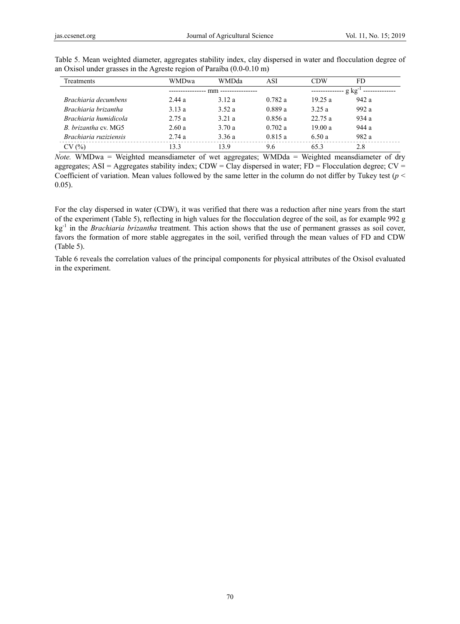| Treatments             | <b>WMDwa</b>    | <b>WMDda</b>        | ASI     | <b>CDW</b> | FD      |  |  |
|------------------------|-----------------|---------------------|---------|------------|---------|--|--|
|                        | --------------- | mm ---------------- | g kg    |            |         |  |  |
| Brachiaria decumbens   | 2.44a           | 3.12a               | 0.782a  | 19.25a     | 942a    |  |  |
| Brachiaria brizantha   | 3.13a           | 3.52a               | 0.889a  | 3.25a      | 992 $a$ |  |  |
| Brachiaria humidicola  | 2.75a           | 3.21 a              | 0.856a  | 22.75 a    | 934a    |  |  |
| B. brizantha cv. MG5   | 2.60a           | 3.70 a              | 0.702 a | 19.00a     | 944 a   |  |  |
| Brachiaria ruziziensis | 2.74a           | 3.36a               | 0.815a  | 6.50 a     | 982 a   |  |  |
| CV(%)                  | 13.3            | 139                 | 9.6     | 653        | 2.8     |  |  |

Table 5. Mean weighted diameter, aggregates stability index, clay dispersed in water and flocculation degree of an Oxisol under grasses in the Agreste region of Paraíba (0.0-0.10 m)

*Note.* WMDwa = Weighted meansdiameter of wet aggregates; WMDda = Weighted meansdiameter of dry aggregates; ASI = Aggregates stability index; CDW = Clay dispersed in water; FD = Flocculation degree; CV = Coefficient of variation. Mean values followed by the same letter in the column do not differ by Tukey test (*p* < 0.05).

For the clay dispersed in water (CDW), it was verified that there was a reduction after nine years from the start of the experiment (Table 5), reflecting in high values for the flocculation degree of the soil, as for example 992 g kg-1 in the *Brachiaria brizantha* treatment. This action shows that the use of permanent grasses as soil cover, favors the formation of more stable aggregates in the soil, verified through the mean values of FD and CDW (Table 5).

Table 6 reveals the correlation values of the principal components for physical attributes of the Oxisol evaluated in the experiment.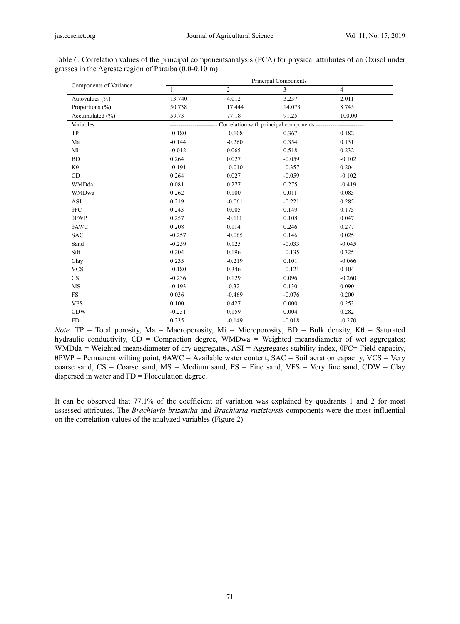| Components of Variance | Principal Components                         |                |                |                |  |  |  |  |  |
|------------------------|----------------------------------------------|----------------|----------------|----------------|--|--|--|--|--|
|                        | $\mathbf{1}$                                 | $\overline{2}$ | $\overline{3}$ | $\overline{4}$ |  |  |  |  |  |
| Autovalues $(\% )$     | 13.740                                       | 4.012          | 3.237          | 2.011          |  |  |  |  |  |
| Proportions $(\% )$    | 50.738                                       | 17.444         | 14.073         | 8.745          |  |  |  |  |  |
| Accumulated (%)        | 59.73                                        | 77.18          | 91.25          | 100.00         |  |  |  |  |  |
| Variables              | Correlation with principal components ------ |                |                |                |  |  |  |  |  |
| TP                     | $-0.180$                                     | $-0.108$       | 0.367          | 0.182          |  |  |  |  |  |
| Ma                     | $-0.144$                                     | $-0.260$       | 0.354          | 0.131          |  |  |  |  |  |
| Mi                     | $-0.012$                                     | 0.065          | 0.518          | 0.232          |  |  |  |  |  |
| BD                     | 0.264                                        | 0.027          | $-0.059$       | $-0.102$       |  |  |  |  |  |
| $K\theta$              | $-0.191$                                     | $-0.010$       | $-0.357$       | 0.204          |  |  |  |  |  |
| CD                     | 0.264                                        | 0.027          | $-0.059$       | $-0.102$       |  |  |  |  |  |
| WMDda                  | 0.081                                        | 0.277          | 0.275          | $-0.419$       |  |  |  |  |  |
| <b>WMDwa</b>           | 0.262                                        | 0.100          | 0.011          | 0.085          |  |  |  |  |  |
| ASI                    | 0.219                                        | $-0.061$       | $-0.221$       | 0.285          |  |  |  |  |  |
| 0FC                    | 0.243                                        | 0.005          | 0.149          | 0.175          |  |  |  |  |  |
| $\theta$ PWP           | 0.257                                        | $-0.111$       | 0.108          | 0.047          |  |  |  |  |  |
| $\theta$ AWC           | 0.208                                        | 0.114          | 0.246          | 0.277          |  |  |  |  |  |
| <b>SAC</b>             | $-0.257$                                     | $-0.065$       | 0.146          | 0.025          |  |  |  |  |  |
| Sand                   | $-0.259$                                     | 0.125          | $-0.033$       | $-0.045$       |  |  |  |  |  |
| Silt                   | 0.204                                        | 0.196          | $-0.135$       | 0.325          |  |  |  |  |  |
| Clay                   | 0.235                                        | $-0.219$       | 0.101          | $-0.066$       |  |  |  |  |  |
| <b>VCS</b>             | $-0.180$                                     | 0.346          | $-0.121$       | 0.104          |  |  |  |  |  |
| <b>CS</b>              | $-0.236$                                     | 0.129          | 0.096          | $-0.260$       |  |  |  |  |  |
| MS                     | $-0.193$                                     | $-0.321$       | 0.130          | 0.090          |  |  |  |  |  |
| $_{\rm FS}$            | 0.036                                        | $-0.469$       | $-0.076$       | 0.200          |  |  |  |  |  |
| <b>VFS</b>             | 0.100                                        | 0.427          | 0.000          | 0.253          |  |  |  |  |  |
| <b>CDW</b>             | $-0.231$                                     | 0.159          | 0.004          | 0.282          |  |  |  |  |  |
| <b>FD</b>              | 0.235                                        | $-0.149$       | $-0.018$       | $-0.270$       |  |  |  |  |  |

Table 6. Correlation values of the principal componentsanalysis (PCA) for physical attributes of an Oxisol under grasses in the Agreste region of Paraíba (0.0-0.10 m)

*Note.* **TP** = Total porosity, Ma = Macroporosity, Mi = Microporosity, BD = Bulk density, Kθ = Saturated hydraulic conductivity,  $CD =$  Compaction degree, WMDwa = Weighted meansdiameter of wet aggregates; WMDda = Weighted meansdiameter of dry aggregates, ASI = Aggregates stability index, θFC= Field capacity, θPWP = Permanent wilting point, θAWC = Available water content, SAC = Soil aeration capacity, VCS = Very coarse sand,  $CS = \text{Coarse}$  sand,  $MS = \text{Median}$  sand,  $FS = \text{Fire}$  sand,  $VFS = \text{Very}$  fine sand,  $CDW = \text{Clay}$ dispersed in water and FD = Flocculation degree.

It can be observed that 77.1% of the coefficient of variation was explained by quadrants 1 and 2 for most assessed attributes. The *Brachiaria brizantha* and *Brachiaria ruziziensis* components were the most influential on the correlation values of the analyzed variables (Figure 2).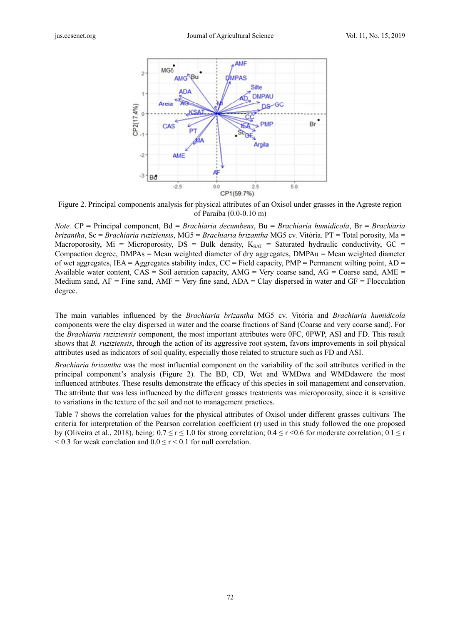

Figure 2. Principal components analysis for physical attributes of an Oxisol under grasses in the Agreste region of Paraíba (0.0-0.10 m)

Note.  $CP =$  Principal component,  $Bd = Brachiaria decumbens$ ,  $Bu = Brachiaria humidicola$ ,  $Br = Brachiaria$ brizantha, Sc = Brachiaria ruziziensis, MG5 = Brachiaria brizantha MG5 cv. Vitória. PT = Total porosity, Ma = Macroporosity, Mi = Microporosity, DS = Bulk density,  $K_{SAT}$  = Saturated hydraulic conductivity, GC = Compaction degree, DMPAs = Mean weighted diameter of dry aggregates, DMPAu = Mean weighted diameter of wet aggregates, IEA = Aggregates stability index,  $CC = Field$  capacity,  $PMP = Permannent$  wilting point,  $AD =$ Available water content,  $CAS =$  Soil aeration capacity,  $AMG =$  Very coarse sand,  $AG =$  Coarse sand,  $AME =$ Medium sand,  $AF =$  Fine sand,  $AMF =$  Very fine sand,  $ADA =$  Clay dispersed in water and  $GF =$  Flocculation degree.

The main variables influenced by the Brachiaria brizantha MG5 cv. Vitória and Brachiaria humidicola components were the clay dispersed in water and the coarse fractions of Sand (Coarse and very coarse sand). For the *Brachiaria ruziziensis* component, the most important attributes were  $\theta$ FC,  $\theta$ PWP, ASI and FD. This result shows that *B. ruziziensis*, through the action of its aggressive root system, favors improvements in soil physical attributes used as indicators of soil quality, especially those related to structure such as FD and ASI.

Brachiaria brizantha was the most influential component on the variability of the soil attributes verified in the principal component's analysis (Figure 2). The BD, CD, Wet and WMDwa and WMDdawere the most influenced attributes. These results demonstrate the efficacy of this species in soil management and conservation. The attribute that was less influenced by the different grasses treatments was microporosity, since it is sensitive to variations in the texture of the soil and not to management practices.

Table 7 shows the correlation values for the physical attributes of Oxisol under different grasses cultivars. The criteria for interpretation of the Pearson correlation coefficient (r) used in this study followed the one proposed by (Oliveira et al., 2018), being:  $0.7 \le r \le 1.0$  for strong correlation;  $0.4 \le r \le 0.6$  for moderate correlation;  $0.1 \le r$  $0.3$  for weak correlation and  $0.0 \le r \le 0.1$  for null correlation.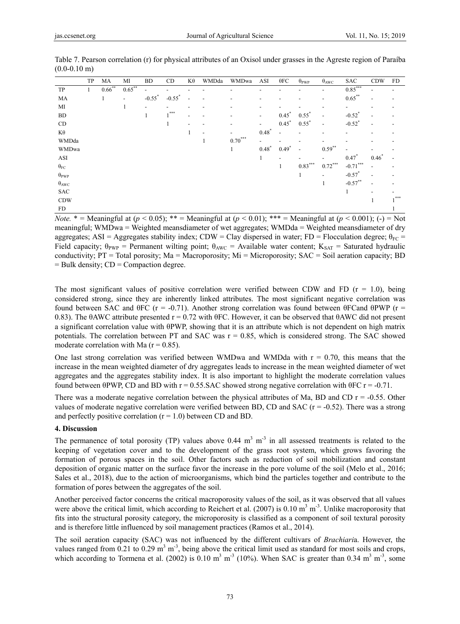|                      | TP | MA           | МI                       | <b>BD</b>                | CD                   | Κθ                       | WMDda | WMDwa                    | ASI                      | $\theta$ FC              | $\theta_{PWP}$           | $\theta_{\rm AWC}$       | <b>SAC</b>               | <b>CDW</b>               | FD                       |
|----------------------|----|--------------|--------------------------|--------------------------|----------------------|--------------------------|-------|--------------------------|--------------------------|--------------------------|--------------------------|--------------------------|--------------------------|--------------------------|--------------------------|
| TP                   | 1  | $0.66$ **    | $0.65***$                | $\overline{\phantom{a}}$ |                      |                          |       |                          |                          |                          |                          | $\overline{\phantom{a}}$ | $0.85***$                |                          | -                        |
| MA                   |    | $\mathbf{1}$ | $\overline{\phantom{a}}$ | $-0.55$ <sup>*</sup>     | $-0.55$ <sup>*</sup> | $\overline{\phantom{a}}$ |       | $\overline{\phantom{0}}$ | $\overline{\phantom{a}}$ |                          |                          | $\overline{\phantom{a}}$ | $0.65***$                | $\overline{\phantom{a}}$ | $\overline{\phantom{0}}$ |
| MI                   |    |              |                          | $\overline{\phantom{a}}$ |                      |                          |       |                          | -                        |                          |                          | $\overline{\phantom{a}}$ | $\overline{\phantom{a}}$ |                          |                          |
| <b>BD</b>            |    |              |                          | 1                        | $.***$               |                          |       |                          | $\overline{\phantom{a}}$ | $0.45*$                  | $0.55*$                  | $\overline{\phantom{a}}$ | $-0.52$ <sup>*</sup>     |                          |                          |
| CD                   |    |              |                          |                          | $\mathbf{1}$         | $\overline{\phantom{a}}$ |       |                          | $\overline{\phantom{0}}$ | $0.45*$                  | $0.55*$                  | $\overline{a}$           | $-0.52$ <sup>*</sup>     | $\overline{\phantom{a}}$ | $\overline{\phantom{a}}$ |
| $K\theta$            |    |              |                          |                          |                      | 1                        |       | $\overline{\phantom{0}}$ | $0.48*$                  | $\overline{\phantom{a}}$ | $\overline{\phantom{a}}$ | $\overline{\phantom{a}}$ | $\overline{\phantom{0}}$ |                          |                          |
| WMDda                |    |              |                          |                          |                      |                          |       | $0.70***$                | $\overline{\phantom{0}}$ |                          |                          | $\overline{a}$           |                          |                          |                          |
| WMDwa                |    |              |                          |                          |                      |                          |       | $\mathbf{1}$             | $0.48*$                  | $0.49*$                  | $\overline{\phantom{a}}$ | $0.59***$                | $\overline{\phantom{0}}$ |                          |                          |
| ASI                  |    |              |                          |                          |                      |                          |       |                          | 1                        | $\overline{\phantom{0}}$ | $\overline{\phantom{a}}$ | $\overline{\phantom{a}}$ | $0.47*$                  | $0.46*$                  |                          |
| $\theta_{\text{FC}}$ |    |              |                          |                          |                      |                          |       |                          |                          | $\mathbf{1}$             | $0.83***$                | $0.72***$                | $-0.71***$               |                          |                          |
| $\theta_{PWP}$       |    |              |                          |                          |                      |                          |       |                          |                          |                          | 1                        | $\overline{\phantom{a}}$ | $-0.57$ <sup>*</sup>     | $\overline{\phantom{0}}$ | $\overline{\phantom{a}}$ |
| $\theta_{\rm AWC}$   |    |              |                          |                          |                      |                          |       |                          |                          |                          |                          | $\mathbf{1}$             | $-0.57***$               | $\overline{\phantom{a}}$ | $\overline{\phantom{a}}$ |
| <b>SAC</b>           |    |              |                          |                          |                      |                          |       |                          |                          |                          |                          |                          | $\mathbf{1}$             |                          |                          |
| <b>CDW</b>           |    |              |                          |                          |                      |                          |       |                          |                          |                          |                          |                          |                          |                          | $,***$                   |
| <b>FD</b>            |    |              |                          |                          |                      |                          |       |                          |                          |                          |                          |                          |                          |                          |                          |

Table 7. Pearson correlation (r) for physical attributes of an Oxisol under grasses in the Agreste region of Paraíba  $(0.0-0.10)$  m)

*Note.*  $* =$  Meaningful at  $(p < 0.05)$ ;  $** =$  Meaningful at  $(p < 0.01)$ ;  $*** =$  Meaningful at  $(p < 0.001)$ ; (-) = Not meaningful; WMDwa = Weighted meansdiameter of wet aggregates; WMDda = Weighted meansdiameter of dry aggregates; ASI = Aggregates stability index; CDW = Clay dispersed in water; FD = Flocculation degree;  $\theta_{FC}$  = Field capacity;  $\theta_{PWP}$  = Permanent wilting point;  $\theta_{AWC}$  = Available water content;  $K_{SAT}$  = Saturated hydraulic conductivity; PT = Total porosity; Ma = Macroporosity; Mi = Microporosity; SAC = Soil aeration capacity; BD  $=$  Bulk density;  $CD =$  Compaction degree.

The most significant values of positive correlation were verified between CDW and FD ( $r = 1.0$ ), being considered strong, since they are inherently linked attributes. The most significant negative correlation was found between SAC and  $\theta$ FC (r = -0.71). Another strong correlation was found between  $\theta$ FCand  $\theta$ PWP (r = 0.83). The θAWC attribute presented  $r = 0.72$  with θFC. However, it can be observed that θAWC did not present a significant correlation value with θPWP, showing that it is an attribute which is not dependent on high matrix potentials. The correlation between PT and SAC was  $r = 0.85$ , which is considered strong. The SAC showed moderate correlation with Ma  $(r = 0.85)$ .

One last strong correlation was verified between WMDwa and WMDda with  $r = 0.70$ , this means that the increase in the mean weighted diameter of dry aggregates leads to increase in the mean weighted diameter of wet aggregates and the aggregates stability index. It is also important to highlight the moderate correlation values found between θPWP, CD and BD with r = 0.55.SAC showed strong negative correlation with θFC r = -0.71.

There was a moderate negative correlation between the physical attributes of Ma, BD and CD  $r = -0.55$ . Other values of moderate negative correlation were verified between BD, CD and SAC  $(r = -0.52)$ . There was a strong and perfectly positive correlation  $(r = 1.0)$  between CD and BD.

## **4. Discussion**

The permanence of total porosity (TP) values above  $0.44 \text{ m}^3 \text{ m}^{-3}$  in all assessed treatments is related to the keeping of vegetation cover and to the development of the grass root system, which grows favoring the formation of porous spaces in the soil. Other factors such as reduction of soil mobilization and constant deposition of organic matter on the surface favor the increase in the pore volume of the soil (Melo et al., 2016; Sales et al., 2018), due to the action of microorganisms, which bind the particles together and contribute to the formation of pores between the aggregates of the soil.

Another perceived factor concerns the critical macroporosity values of the soil, as it was observed that all values were above the critical limit, which according to Reichert et al.  $(2007)$  is 0.10 m<sup>3</sup> m<sup>-3</sup>. Unlike macroporosity that fits into the structural porosity category, the microporosity is classified as a component of soil textural porosity and is therefore little influenced by soil management practices (Ramos et al., 2014).

The soil aeration capacity (SAC) was not influenced by the different cultivars of *Brachiari*a. However, the values ranged from 0.21 to 0.29  $\text{m}^3$  m<sup>-3</sup>, being above the critical limit used as standard for most soils and crops, which according to Tormena et al. (2002) is  $0.10 \text{ m}^3 \text{ m}^{-3}$  (10%). When SAC is greater than 0.34 m<sup>3</sup> m<sup>-3</sup>, some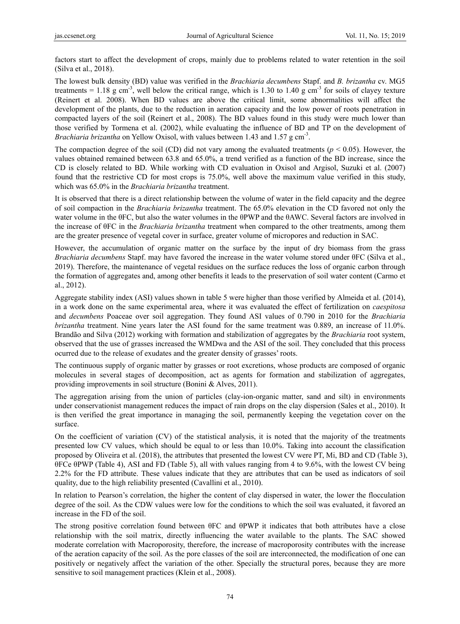factors start to affect the development of crops, mainly due to problems related to water retention in the soil (Silva et al., 2018).

The lowest bulk density (BD) value was verified in the *Brachiaria decumbens* Stapf. and *B. brizantha* cv. MG5 treatments = 1.18 g cm<sup>-3</sup>, well below the critical range, which is 1.30 to 1.40 g cm<sup>-3</sup> for soils of clayey texture (Reinert et al. 2008). When BD values are above the critical limit, some abnormalities will affect the development of the plants, due to the reduction in aeration capacity and the low power of roots penetration in compacted layers of the soil (Reinert et al., 2008). The BD values found in this study were much lower than those verified by Tormena et al. (2002), while evaluating the influence of BD and TP on the development of *Brachiaria brizantha* on Yellow Oxisol, with values between 1.43 and 1.57 g cm-3.

The compaction degree of the soil (CD) did not vary among the evaluated treatments ( $p < 0.05$ ). However, the values obtained remained between 63.8 and 65.0%, a trend verified as a function of the BD increase, since the CD is closely related to BD. While working with CD evaluation in Oxisol and Argisol, Suzuki et al. (2007) found that the restrictive CD for most crops is 75.0%, well above the maximum value verified in this study, which was 65.0% in the *Brachiaria brizantha* treatment.

It is observed that there is a direct relationship between the volume of water in the field capacity and the degree of soil compaction in the *Brachiaria brizantha* treatment. The 65.0% elevation in the CD favored not only the water volume in the θFC, but also the water volumes in the θPWP and the θAWC. Several factors are involved in the increase of θFC in the *Brachiaria brizantha* treatment when compared to the other treatments, among them are the greater presence of vegetal cover in surface, greater volume of micropores and reduction in SAC.

However, the accumulation of organic matter on the surface by the input of dry biomass from the grass *Brachiaria decumbens* Stapf. may have favored the increase in the water volume stored under θFC (Silva et al., 2019). Therefore, the maintenance of vegetal residues on the surface reduces the loss of organic carbon through the formation of aggregates and, among other benefits it leads to the preservation of soil water content (Carmo et al., 2012).

Aggregate stability index (ASI) values shown in table 5 were higher than those verified by Almeida et al. (2014), in a work done on the same experimental area, where it was evaluated the effect of fertilization on *caespitosa* and *decumbens* Poaceae over soil aggregation. They found ASI values of 0.790 in 2010 for the *Brachiaria brizantha* treatment. Nine years later the ASI found for the same treatment was 0.889, an increase of 11.0%. Brandão and Silva (2012) working with formation and stabilization of aggregates by the *Brachiaria* root system, observed that the use of grasses increased the WMDwa and the ASI of the soil. They concluded that this process ocurred due to the release of exudates and the greater density of grasses' roots.

The continuous supply of organic matter by grasses or root excretions, whose products are composed of organic molecules in several stages of decomposition, act as agents for formation and stabilization of aggregates, providing improvements in soil structure (Bonini & Alves, 2011).

The aggregation arising from the union of particles (clay-ion-organic matter, sand and silt) in environments under conservationist management reduces the impact of rain drops on the clay dispersion (Sales et al., 2010). It is then verified the great importance in managing the soil, permanently keeping the vegetation cover on the surface.

On the coefficient of variation (CV) of the statistical analysis, it is noted that the majority of the treatments presented low CV values, which should be equal to or less than 10.0%. Taking into account the classification proposed by Oliveira et al. (2018), the attributes that presented the lowest CV were PT, Mi, BD and CD (Table 3), θFCe θPWP (Table 4), ASI and FD (Table 5), all with values ranging from 4 to 9.6%, with the lowest CV being 2.2% for the FD attribute. These values indicate that they are attributes that can be used as indicators of soil quality, due to the high reliability presented (Cavallini et al., 2010).

In relation to Pearson's correlation, the higher the content of clay dispersed in water, the lower the flocculation degree of the soil. As the CDW values were low for the conditions to which the soil was evaluated, it favored an increase in the FD of the soil.

The strong positive correlation found between θFC and θPWP it indicates that both attributes have a close relationship with the soil matrix, directly influencing the water available to the plants. The SAC showed moderate correlation with Macroporosity, therefore, the increase of macroporosity contributes with the increase of the aeration capacity of the soil. As the pore classes of the soil are interconnected, the modification of one can positively or negatively affect the variation of the other. Specially the structural pores, because they are more sensitive to soil management practices (Klein et al., 2008).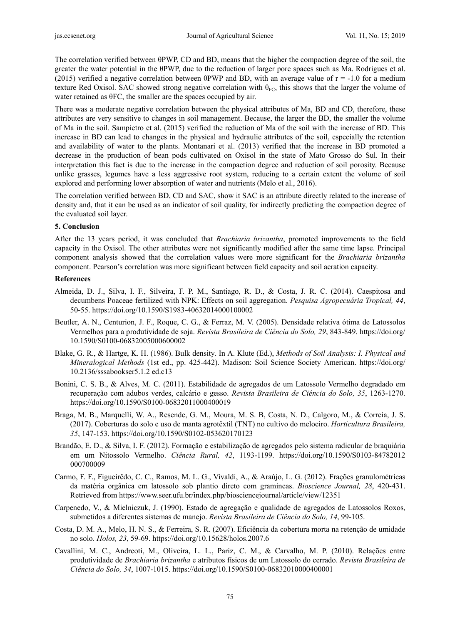The correlation verified between θPWP, CD and BD, means that the higher the compaction degree of the soil, the greater the water potential in the θPWP, due to the reduction of larger pore spaces such as Ma. Rodrigues et al. (2015) verified a negative correlation between  $\theta PWP$  and BD, with an average value of  $r = -1.0$  for a medium texture Red Oxisol. SAC showed strong negative correlation with  $\theta_{FC}$ , this shows that the larger the volume of water retained as θFC, the smaller are the spaces occupied by air.

There was a moderate negative correlation between the physical attributes of Ma, BD and CD, therefore, these attributes are very sensitive to changes in soil management. Because, the larger the BD, the smaller the volume of Ma in the soil. Sampietro et al. (2015) verified the reduction of Ma of the soil with the increase of BD. This increase in BD can lead to changes in the physical and hydraulic attributes of the soil, especially the retention and availability of water to the plants. Montanari et al. (2013) verified that the increase in BD promoted a decrease in the production of bean pods cultivated on Oxisol in the state of Mato Grosso do Sul. In their interpretation this fact is due to the increase in the compaction degree and reduction of soil porosity. Because unlike grasses, legumes have a less aggressive root system, reducing to a certain extent the volume of soil explored and performing lower absorption of water and nutrients (Melo et al., 2016).

The correlation verified between BD, CD and SAC, show it SAC is an attribute directly related to the increase of density and, that it can be used as an indicator of soil quality, for indirectly predicting the compaction degree of the evaluated soil layer.

# **5. Conclusion**

After the 13 years period, it was concluded that *Brachiaria brizantha*, promoted improvements to the field capacity in the Oxisol. The other attributes were not significantly modified after the same time lapse. Principal component analysis showed that the correlation values were more significant for the *Brachiaria brizantha* component. Pearson's correlation was more significant between field capacity and soil aeration capacity.

# **References**

- Almeida, D. J., Silva, I. F., Silveira, F. P. M., Santiago, R. D., & Costa, J. R. C. (2014). Caespitosa and decumbens Poaceae fertilized with NPK: Effects on soil aggregation. *Pesquisa Agropecuária Tropical, 44*, 50-55. https://doi.org/10.1590/S1983-40632014000100002
- Beutler, A. N., Centurion, J. F., Roque, C. G., & Ferraz, M. V. (2005). Densidade relativa ótima de Latossolos Vermelhos para a produtividade de soja. *Revista Brasileira de Ciência do Solo, 29*, 843-849. https://doi.org/ 10.1590/S0100-06832005000600002
- Blake, G. R., & Hartge, K. H. (1986). Bulk density. In A. Klute (Ed.), *Methods of Soil Analysis: I. Physical and Mineralogical Methods* (1st ed., pp. 425-442). Madison: Soil Science Society American. https://doi.org/ 10.2136/sssabookser5.1.2 ed.c13
- Bonini, C. S. B., & Alves, M. C. (2011). Estabilidade de agregados de um Latossolo Vermelho degradado em recuperação com adubos verdes, calcário e gesso. *Revista Brasileira de Ciência do Solo, 35*, 1263-1270. https://doi.org/10.1590/S0100-06832011000400019
- Braga, M. B., Marquelli, W. A., Resende, G. M., Moura, M. S. B, Costa, N. D., Calgoro, M., & Correia, J. S. (2017). Coberturas do solo e uso de manta agrotêxtil (TNT) no cultivo do meloeiro. *Horticultura Brasileira, 35*, 147-153. https://doi.org/10.1590/S0102-053620170123
- Brandão, E. D., & Silva, I. F. (2012). Formação e estabilização de agregados pelo sistema radicular de braquiária em um Nitossolo Vermelho. *Ciência Rural, 42*, 1193-1199. https://doi.org/10.1590/S0103-84782012 000700009
- Carmo, F. F., Figueirêdo, C. C., Ramos, M. L. G., Vivaldi, A., & Araújo, L. G. (2012). Frações granulométricas da matéria orgânica em latossolo sob plantio direto com gramineas. *Bioscience Journal, 28*, 420-431. Retrieved from https://www.seer.ufu.br/index.php/biosciencejournal/article/view/12351
- Carpenedo, V., & Mielniczuk, J. (1990). Estado de agregação e qualidade de agregados de Latossolos Roxos, submetidos a diferentes sistemas de manejo. *Revista Brasileira de Ciência do Solo, 14*, 99-105.
- Costa, D. M. A., Melo, H. N. S., & Ferreira, S. R. (2007). Eficiência da cobertura morta na retenção de umidade no solo. *Holos, 23*, 59-69. https://doi.org/10.15628/holos.2007.6
- Cavallini, M. C., Andreoti, M., Oliveira, L. L., Pariz, C. M., & Carvalho, M. P. (2010). Relações entre produtividade de *Brachiaria brizantha* e atributos físicos de um Latossolo do cerrado. *Revista Brasileira de Ciência do Solo, 34*, 1007-1015. https://doi.org/10.1590/S0100-06832010000400001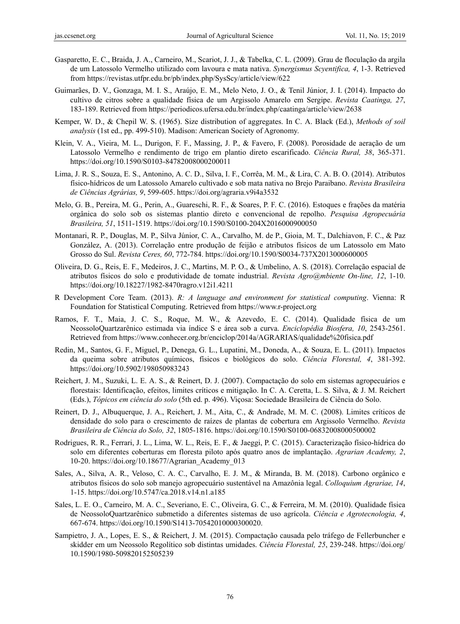- Gasparetto, E. C., Braida, J. A., Carneiro, M., Scariot, J. J., & Tabelka, C. L. (2009). Grau de floculação da argila de um Latossolo Vermelho utilizado com lavoura e mata nativa. *Synergismus Scyentifica, 4*, 1-3. Retrieved from https://revistas.utfpr.edu.br/pb/index.php/SysScy/article/view/622
- Guimarães, D. V., Gonzaga, M. I. S., Araújo, E. M., Melo Neto, J. O., & Tenil Júnior, J. I. (2014). Impacto do cultivo de citros sobre a qualidade física de um Argissolo Amarelo em Sergipe. *Revista Caatinga, 27*, 183-189. Retrieved from https://periodicos.ufersa.edu.br/index.php/caatinga/article/view/2638
- Kemper, W. D., & Chepil W. S. (1965). Size distribution of aggregates. In C. A. Black (Ed.), *Methods of soil analysis* (1st ed., pp. 499-510). Madison: American Society of Agronomy.
- Klein, V. A., Vieira, M. L., Durigon, F. F., Massing, J. P., & Favero, F. (2008). Porosidade de aeração de um Latossolo Vermelho e rendimento de trigo em plantio direto escarificado. *Ciência Rural, 38*, 365-371. https://doi.org/10.1590/S0103-84782008000200011
- Lima, J. R. S., Souza, E. S., Antonino, A. C. D., Silva, I. F., Corrêa, M. M., & Lira, C. A. B. O. (2014). Atributos físico-hídricos de um Latossolo Amarelo cultivado e sob mata nativa no Brejo Paraibano. *Revista Brasileira de Ciências Agrárias, 9*, 599-605. https://doi.org/agraria.v9i4a3532
- Melo, G. B., Pereira, M. G., Perin, A., Guareschi, R. F., & Soares, P. F. C. (2016). Estoques e frações da matéria orgânica do solo sob os sistemas plantio direto e convencional de repolho. *Pesquisa Agropecuária Brasileira, 51*, 1511-1519. https://doi.org/10.1590/S0100-204X2016000900050
- Montanari, R. P., Douglas, M. P., Silva Júnior, C. A., Carvalho, M. de P., Gioia, M. T., Dalchiavon, F. C., & Paz González, A. (2013). Correlação entre produção de feijão e atributos físicos de um Latossolo em Mato Grosso do Sul. *Revista Ceres, 60*, 772-784. https://doi.org/10.1590/S0034-737X2013000600005
- Oliveira, D. G., Reis, E. F., Medeiros, J. C., Martins, M. P. O., & Umbelino, A. S. (2018). Correlação espacial de atributos físicos do solo e produtividade de tomate industrial. *Revista Agro@mbiente On-line, 12*, 1-10. https://doi.org/10.18227/1982-8470ragro.v12i1.4211
- R Development Core Team. (2013). *R: A language and environment for statistical computing*. Vienna: R Foundation for Statistical Computing. Retrieved from https://www.r-project.org
- Ramos, F. T., Maia, J. C. S., Roque, M. W., & Azevedo, E. C. (2014). Qualidade física de um NeossoloQuartzarênico estimada via índice S e área sob a curva. *Enciclopédia Biosfera, 10*, 2543-2561. Retrieved from https://www.conhecer.org.br/enciclop/2014a/AGRARIAS/qualidade%20fisica.pdf
- Redin, M., Santos, G. F., Miguel, P., Denega, G. L., Lupatini, M., Doneda, A., & Souza, E. L. (2011). Impactos da queima sobre atributos químicos, físicos e biológicos do solo. *Ciência Florestal, 4*, 381-392. https://doi.org/10.5902/198050983243
- Reichert, J. M., Suzuki, L. E. A. S., & Reinert, D. J. (2007). Compactação do solo em sistemas agropecuários e florestais: Identificação, efeitos, limites críticos e mitigação. In C. A. Ceretta, L. S. Silva, & J. M. Reichert (Eds.), *Tópicos em ciência do solo* (5th ed. p. 496). Viçosa: Sociedade Brasileira de Ciência do Solo.
- Reinert, D. J., Albuquerque, J. A., Reichert, J. M., Aita, C., & Andrade, M. M. C. (2008). Limites críticos de densidade do solo para o crescimento de raízes de plantas de cobertura em Argissolo Vermelho. *Revista Brasileira de Ciência do Solo, 32*, 1805-1816. https://doi.org/10.1590/S0100-06832008000500002
- Rodrigues, R. R., Ferrari, J. L., Lima, W. L., Reis, E. F., & Jaeggi, P. C. (2015). Caracterização físico-hídrica do solo em diferentes coberturas em floresta piloto após quatro anos de implantação. *Agrarian Academy, 2*, 10-20. https://doi.org/10.18677/Agrarian\_Academy\_013
- Sales, A., Silva, A. R., Veloso, C. A. C., Carvalho, E. J. M., & Miranda, B. M. (2018). Carbono orgânico e atributos físicos do solo sob manejo agropecuário sustentável na Amazônia legal. *Colloquium Agrariae, 14*, 1-15. https://doi.org/10.5747/ca.2018.v14.n1.a185
- Sales, L. E. O., Carneiro, M. A. C., Severiano, E. C., Oliveira, G. C., & Ferreira, M. M. (2010). Qualidade física de NeossoloQuartzarênico submetido a diferentes sistemas de uso agrícola. *Ciência e Agrotecnologia, 4*, 667-674. https://doi.org/10.1590/S1413-70542010000300020.
- Sampietro, J. A., Lopes, E. S., & Reichert, J. M. (2015). Compactação causada pelo tráfego de Fellerbuncher e skidder em um Neossolo Regolítico sob distintas umidades. *Ciência Florestal, 25*, 239-248. https://doi.org/ 10.1590/1980-509820152505239